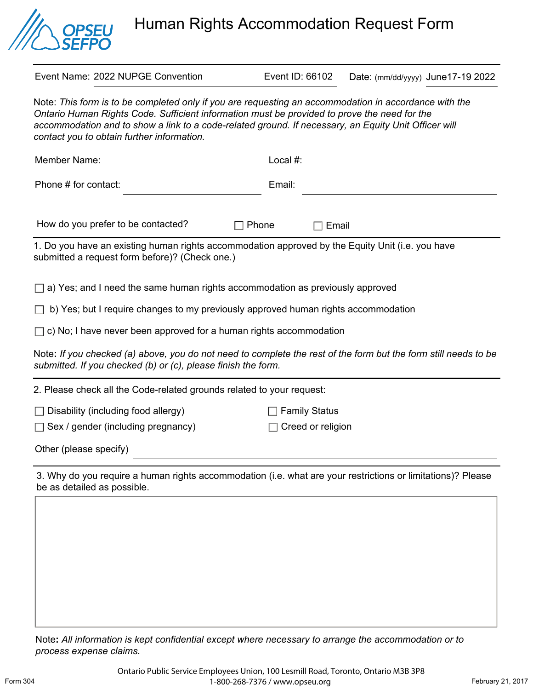

Human Rights Accommodation Request Form

| Event Name: 2022 NUPGE Convention                                                                                                                                                                                                                                                                                                                           | Event ID: 66102      | Date: (mm/dd/yyyy) June17-19 2022 |
|-------------------------------------------------------------------------------------------------------------------------------------------------------------------------------------------------------------------------------------------------------------------------------------------------------------------------------------------------------------|----------------------|-----------------------------------|
| Note: This form is to be completed only if you are requesting an accommodation in accordance with the<br>Ontario Human Rights Code. Sufficient information must be provided to prove the need for the<br>accommodation and to show a link to a code-related ground. If necessary, an Equity Unit Officer will<br>contact you to obtain further information. |                      |                                   |
| Member Name:                                                                                                                                                                                                                                                                                                                                                | Local #:             |                                   |
| Phone # for contact:                                                                                                                                                                                                                                                                                                                                        | Email:               |                                   |
| How do you prefer to be contacted?                                                                                                                                                                                                                                                                                                                          | Phone<br>Email       |                                   |
| 1. Do you have an existing human rights accommodation approved by the Equity Unit (i.e. you have<br>submitted a request form before)? (Check one.)                                                                                                                                                                                                          |                      |                                   |
| a) Yes; and I need the same human rights accommodation as previously approved                                                                                                                                                                                                                                                                               |                      |                                   |
| b) Yes; but I require changes to my previously approved human rights accommodation                                                                                                                                                                                                                                                                          |                      |                                   |
| $\Box$ c) No; I have never been approved for a human rights accommodation                                                                                                                                                                                                                                                                                   |                      |                                   |
| Note: If you checked (a) above, you do not need to complete the rest of the form but the form still needs to be<br>submitted. If you checked (b) or (c), please finish the form.                                                                                                                                                                            |                      |                                   |
| 2. Please check all the Code-related grounds related to your request:                                                                                                                                                                                                                                                                                       |                      |                                   |
| Disability (including food allergy)                                                                                                                                                                                                                                                                                                                         | <b>Family Status</b> |                                   |
| Sex / gender (including pregnancy)                                                                                                                                                                                                                                                                                                                          | Creed or religion    |                                   |
| Other (please specify)                                                                                                                                                                                                                                                                                                                                      |                      |                                   |
| 3. Why do you require a human rights accommodation (i.e. what are your restrictions or limitations)? Please<br>be as detailed as possible.                                                                                                                                                                                                                  |                      |                                   |
|                                                                                                                                                                                                                                                                                                                                                             |                      |                                   |

Note**:** *All information is kept confidential except where necessary to arrange the accommodation or to process expense claims.*